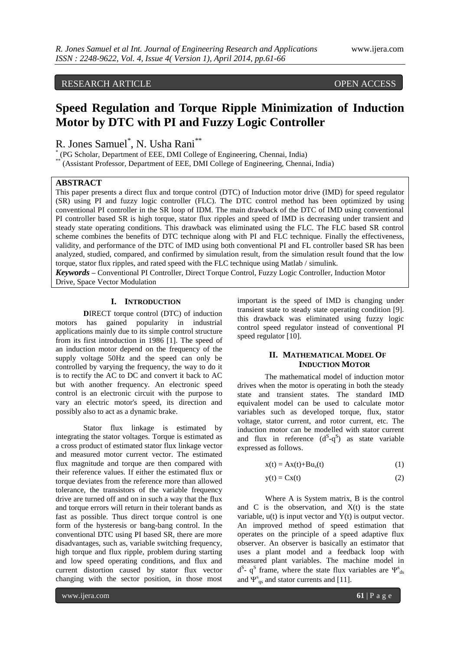# RESEARCH ARTICLE OPEN ACCESS

# **Speed Regulation and Torque Ripple Minimization of Induction Motor by DTC with PI and Fuzzy Logic Controller**

R. Jones Samuel\* , N. Usha Rani\*\*

\* (PG Scholar, Department of EEE, DMI College of Engineering, Chennai, India)

\* (Assistant Professor, Department of EEE, DMI College of Engineering, Chennai, India)

## **ABSTRACT**

This paper presents a direct flux and torque control (DTC) of Induction motor drive (IMD) for speed regulator (SR) using PI and fuzzy logic controller (FLC). The DTC control method has been optimized by using conventional PI controller in the SR loop of IDM. The main drawback of the DTC of IMD using conventional PI controller based SR is high torque, stator flux ripples and speed of IMD is decreasing under transient and steady state operating conditions. This drawback was eliminated using the FLC. The FLC based SR control scheme combines the benefits of DTC technique along with PI and FLC technique. Finally the effectiveness, validity, and performance of the DTC of IMD using both conventional PI and FL controller based SR has been analyzed, studied, compared, and confirmed by simulation result, from the simulation result found that the low torque, stator flux ripples, and rated speed with the FLC technique using Matlab / simulink.

*Keywords* **–** Conventional PI Controller, Direct Torque Control, Fuzzy Logic Controller, Induction Motor Drive, Space Vector Modulation

## **I. INTRODUCTION**

**D**IRECT torque control (DTC) of induction motors has gained popularity in industrial applications mainly due to its simple control structure from its first introduction in 1986 [1]. The speed of an induction motor depend on the frequency of the supply voltage 50Hz and the speed can only be controlled by varying the frequency, the way to do it is to rectify the AC to DC and convert it back to AC but with another frequency. An electronic speed control is an [electronic circuit](http://en.wikipedia.org/wiki/Electronic_circuit) with the purpose to vary an [electric motor's](http://en.wikipedia.org/wiki/Electric_motor) speed, its direction and possibly also to act as a [dynamic brake.](http://en.wikipedia.org/wiki/Dynamic_brake)

[Stator](http://en.wikipedia.org/wiki/Stator) [flux linkage](http://en.wikipedia.org/wiki/Flux_linkage) is estimated by [integrating](http://en.wikipedia.org/wiki/Integral) the [stator](http://en.wikipedia.org/wiki/Stator) voltages. [Torque](http://en.wikipedia.org/wiki/Torque) is estimated as a [cross product](http://en.wikipedia.org/wiki/Cross_product) of estimated stator [flux linkage](http://en.wikipedia.org/wiki/Flux_linkage) [vector](http://en.wikipedia.org/wiki/Vector_%28geometric%29) and measured motor [current](http://en.wikipedia.org/wiki/Electric_current) [vector.](http://en.wikipedia.org/wiki/Vector_%28geometric%29) The estimated flux magnitude and torque are then compared with their [reference values.](http://en.wikipedia.org/wiki/Reference_values) If either the estimated flux or torque [deviates](http://en.wikipedia.org/wiki/Allowance_%28engineering%29) from the reference more than allowed [tolerance,](http://en.wikipedia.org/wiki/Engineering_tolerance) the [transistors](http://en.wikipedia.org/wiki/Transistor) of the [variable frequency](http://en.wikipedia.org/wiki/Variable_frequency_drive)  [drive](http://en.wikipedia.org/wiki/Variable_frequency_drive) are turned off and on in such a way that the flux and torque errors will return in their tolerant bands as fast as possible. Thus direct torque control is one form of the hysteresis or [bang-bang control.](http://en.wikipedia.org/wiki/Bang-bang_control) In the conventional DTC using PI based SR, there are more disadvantages, such as, variable switching frequency, high torque and flux ripple, problem during starting and low speed operating conditions, and flux and current distortion caused by stator flux vector changing with the sector position, in those most

important is the speed of IMD is changing under transient state to steady state operating condition [9]. this drawback was eliminated using fuzzy logic control speed regulator instead of conventional PI speed regulator [10].

#### **II. MATHEMATICAL MODEL OF INDUCTION MOTOR**

The mathematical model of induction motor drives when the motor is operating in both the steady state and transient states. The standard IMD equivalent model can be used to calculate motor variables such as developed torque, flux, stator voltage, stator current, and rotor current, etc. The induction motor can be modelled with stator current and flux in reference  $(d^S-q^S)$  as state variable expressed as follows.

$$
x(t) = Ax(t) + Bus(t)
$$
 (1)

$$
y(t) = Cx(t) \tag{2}
$$

Where A is System matrix, B is the control and  $C$  is the observation, and  $X(t)$  is the state variable,  $u(t)$  is input vector and  $Y(t)$  is output vector. An improved method of speed estimation that operates on the principle of a speed adaptive flux observer. An observer is basically an estimator that uses a plant model and a feedback loop with measured plant variables. The machine model in  $d^S$ - q<sup>S</sup> frame, where the state flux variables are  $\Psi^s_{ds}$ and  $\Psi_{qs}^s$  and stator currents and [11].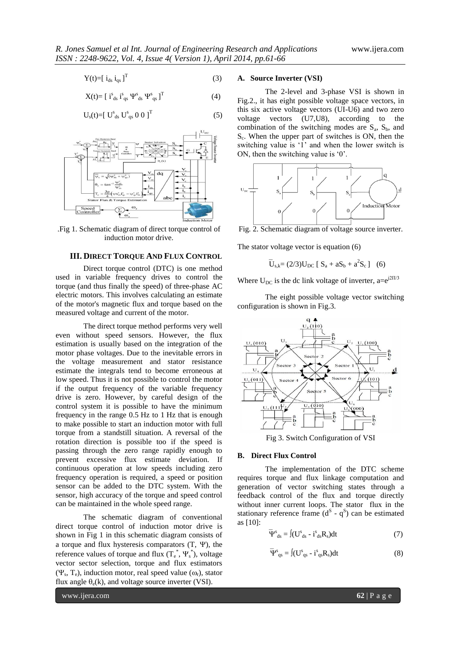$$
Y(t) = [i_{ds} i_{qs}]^T
$$
 (3)

$$
X(t) = [isds isqs \Psisds \Psisqs ]T
$$
 (4)

$$
U_{s}(t) = [U_{ds}^{s} U_{qs}^{s} 0 0]^{T}
$$
 (5)



.Fig 1. Schematic diagram of direct torque control of induction motor drive.

#### **III. DIRECT TORQUE AND FLUX CONTROL**

Direct torque control (DTC) is one method used in [variable frequency drives](http://en.wikipedia.org/wiki/Variable_frequency_drive) to control the [torque](http://en.wikipedia.org/wiki/Torque) (and thus finally the [speed\)](http://en.wikipedia.org/wiki/Speed) of [three-phase](http://en.wikipedia.org/wiki/Three-phase) [AC](http://en.wikipedia.org/wiki/Electric_motor)  [electric motors.](http://en.wikipedia.org/wiki/Electric_motor) This involves [calculating](http://en.wikipedia.org/wiki/Calculation) an estimate of the motor's [magnetic flux](http://en.wikipedia.org/wiki/Magnetic_flux) and [torque](http://en.wikipedia.org/wiki/Torque) based on the measured [voltage](http://en.wikipedia.org/wiki/Voltage) an[d current](http://en.wikipedia.org/wiki/Electric_current) of the motor.

The direct torque method performs very well even without [speed sensors.](http://en.wikipedia.org/wiki/Wheel_speed_sensor) However, the flux estimation is usually based on the integration of the motor phase voltages. Due to the inevitable errors in the voltage measurement and stator resistance estimate the [integrals](http://en.wikipedia.org/wiki/Integral) tend to become erroneous at low speed. Thus it is not possible to control the motor if the [output](http://en.wikipedia.org/wiki/Output) frequency of the variable frequency drive is zero. However, by careful design of the [control system](http://en.wikipedia.org/wiki/Control_system) it is possible to have the minimum frequency in the range 0.5 Hz to 1 Hz that is enough to make possible to start an [induction motor](http://en.wikipedia.org/wiki/Induction_motor) with full torque from a standstill situation. A reversal of the rotation direction is possible too if the speed is passing through the zero range rapidly enough to prevent excessive flux estimate deviation. If continuous operation at low speeds including zero frequency operation is required, a [speed](http://en.wikipedia.org/wiki/Wheel_speed_sensor) or [position](http://en.wikipedia.org/wiki/Rotary_encoder)  [sensor](http://en.wikipedia.org/wiki/Rotary_encoder) can be added to the DTC system. With the sensor, high accuracy of the torque and speed control can be maintained in the whole speed range.

The schematic diagram of conventional direct torque control of induction motor drive is shown in Fig 1 in this schematic diagram consists of a torque and flux hysteresis comparators  $(T, \Psi)$ , the reference values of torque and flux  $(T_e^*, \Psi_s^*)$ , voltage vector sector selection, torque and flux estimators  $(\Psi_s, T_e)$ , induction motor, real speed value  $(\omega_r)$ , stator flux angle  $\theta_e(k)$ , and voltage source inverter (VSI).

#### **A. Source Inverter (VSI)**

The 2-level and 3-phase VSI is shown in Fig.2., it has eight possible voltage space vectors, in this six active voltage vectors (UI-U6) and two zero voltage vectors (U7,U8), according to the combination of the switching modes are  $S_a$ ,  $S_b$ , and Sc . When the upper part of switches is ON, then the switching value is '1' and when the lower switch is ON, then the switching value is '0'.



Fig. 2. Schematic diagram of voltage source inverter.

The stator voltage vector is equation (6)

 $\overline{U}_{s,k} = (2/3)U_{DC} [S_a + aS_b + a^2S_c]$  (6)

Where  $U_{DC}$  is the dc link voltage of inverter, a= $e^{j2\Pi/3}$ 

The eight possible voltage vector switching configuration is shown in Fig.3.



Fig 3. Switch Configuration of VSI

#### **B. Direct Flux Control**

The implementation of the DTC scheme requires torque and flux linkage computation and generation of vector switching states through a feedback control of the flux and torque directly without inner current loops. The stator flux in the stationary reference frame  $(d^S - q^S)$  can be estimated as [10]:

$$
\overline{\Psi}^s_{ds} = J(U^s_{ds} - i^s_{ds}R_s)dt
$$
 (7)

$$
\overline{\Psi}^s_{qs} = J(U^s_{qs} - i^s_{qs}R_s)dt
$$
 (8)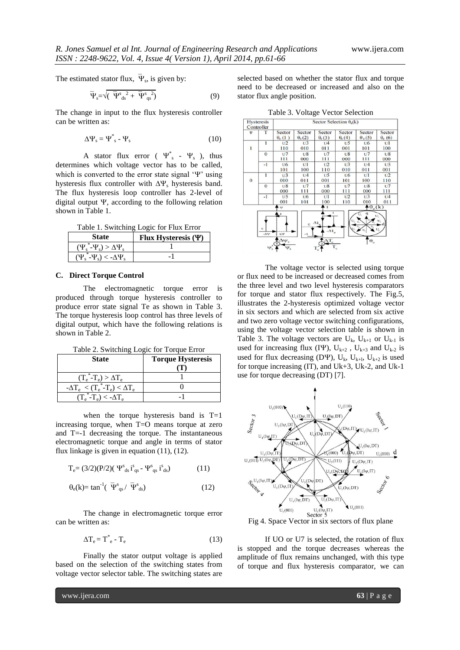The estimated stator flux,  $\Psi_s$ , is given by:

$$
\overline{\Psi}_{s} = \sqrt{\left(\overline{\Psi}_{ds}^{s}^{2} + \overline{\Psi}_{qs}^{s}\right)}
$$
(9)

The change in input to the flux hysteresis controller can be written as:

$$
\Delta \Psi_{\rm s} = \Psi_{\rm s}^* - \Psi_{\rm s} \tag{10}
$$

A stator flux error ( $\Psi^*$  -  $\Psi_s$ ), thus determines which voltage vector has to be called, which is converted to the error state signal  $\Psi'$  using hysteresis flux controller with  $\Delta \Psi_s$  hysteresis band. The flux hysteresis loop controller has 2-level of digital output  $\Psi$ , according to the following relation shown in Table 1.

Table 1. Switching Logic for Flux Error

| State                                      | Flux Hysteresis $(\Psi)$ |  |  |
|--------------------------------------------|--------------------------|--|--|
| $(\Psi_s^* - \Psi_s) > \Delta \Psi_s$      |                          |  |  |
| Ψ<br>$-\Psi_{s}$ ) $<$ - $\Lambda\Psi_{s}$ |                          |  |  |

### **C. Direct Torque Control**

The electromagnetic torque error is produced through torque hysteresis controller to produce error state signal Te as shown in Table 3. The torque hysteresis loop control has three levels of digital output, which have the following relations is shown in Table 2.

Table 2. Switching Logic for Torque Error

| <b>State</b>                                          | <b>Torque Hysteresis</b> |  |  |
|-------------------------------------------------------|--------------------------|--|--|
|                                                       |                          |  |  |
| $(T_e^* - T_e) > \Delta T_e$                          |                          |  |  |
| $\overline{-\Delta T_e} < (T_e^* - T_e) < \Delta T_e$ |                          |  |  |
| $(T_e^* - T_e) < -\Delta T_e$                         |                          |  |  |

when the torque hysteresis band is  $T=1$ increasing torque, when T=O means torque at zero and T=-1 decreasing the torque. The instantaneous electromagnetic torque and angle in terms of stator flux linkage is given in equation (11), (12).

$$
T_e = (3/2)(P/2)(\Psi^s_{ds} i^s_{qs} - \Psi^s_{qs} i^s_{ds})
$$
 (11)

$$
\theta_{\rm e}(k) = \tan^{-1}(\overline{\Psi}_{\rm qs}^s / \overline{\Psi}_{\rm ds}^s)
$$
 (12)

The change in electromagnetic torque error can be written as:

$$
\Delta T_e = T_e^* - T_e \tag{13}
$$

Finally the stator output voltage is applied based on the selection of the switching states from voltage vector selector table. The switching states are

selected based on whether the stator flux and torque need to be decreased or increased and also on the stator flux angle position.

Table 3. Voltage Vector Selection



The voltage vector is selected using torque or flux need to be increased or decreased comes from the three level and two level hysteresis comparators for torque and stator flux respectively. The Fig.5, illustrates the 2-hysteresis optimized voltage vector in six sectors and which are selected from six active and two zero voltage vector switching configurations, using the voltage vector selection table is shown in Table 3. The voltage vectors are  $U_k$ ,  $U_{k+1}$  or  $U_{k-1}$  is used for increasing flux (IY),  $U_{k+2}$ ,  $U_{k+3}$  and  $U_{k-2}$  is used for flux decreasing (DY),  $U_k$ ,  $U_{k+1}$ ,  $U_{k+2}$  is used for torque increasing (IT), and Uk+3, Uk-2, and Uk-1 use for torque decreasing (DT) [7].



Fig 4. Space Vector in six sectors of flux plane

If UO or U7 is selected, the rotation of flux is stopped and the torque decreases whereas the amplitude of flux remains unchanged, with this type of torque and flux hysteresis comparator, we can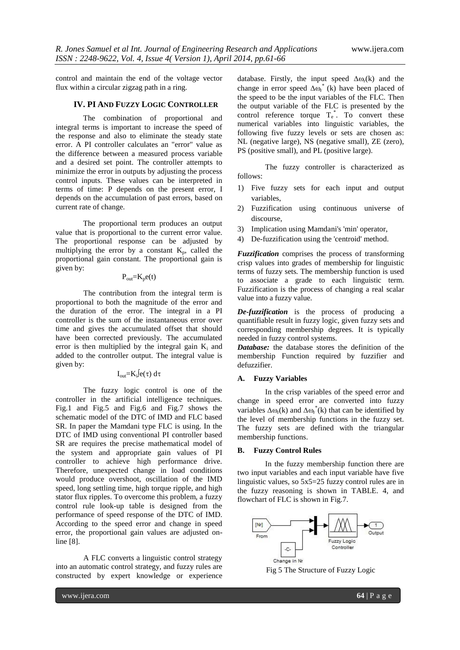control and maintain the end of the voltage vector flux within a circular zigzag path in a ring.

### **IV. PI AND FUZZY LOGIC CONTROLLER**

The combination of proportional and integral terms is important to increase the speed of the response and also to eliminate the steady state error. A PI controller calculates an "error" value as the difference between a measured [process variable](http://en.wikipedia.org/wiki/Process_variable) and a desired [set point.](http://en.wikipedia.org/wiki/Setpoint_%28control_system%29) The controller attempts to minimize the error in outputs by adjusting the process control inputs. These values can be interpreted in terms of time: P depends on the present error, I depends on the accumulation of past errors, based on current rate of change.

The proportional term produces an output value that is proportional to the current error value. The proportional response can be adjusted by multiplying the error by a constant  $K_p$ , called the proportional gain constant. The proportional gain is given by:

 $P_{out}=K_n e(t)$ 

The contribution from the integral term is proportional to both the magnitude of the error and the duration of the error. The [integral](http://en.wikipedia.org/wiki/Integral) in a PI controller is the sum of the instantaneous error over time and gives the accumulated offset that should have been corrected previously. The accumulated error is then multiplied by the integral gain  $K_i$  and added to the controller output. The integral value is given by:

### $I_{\text{out}}=K_{i}$  $e(\tau) d\tau$

The fuzzy logic control is one of the controller in the artificial intelligence techniques. Fig.1 and Fig.5 and Fig.6 and Fig.7 shows the schematic model of the DTC of IMD and FLC based SR. In paper the Mamdani type FLC is using. In the DTC of IMD using conventional PI controller based SR are requires the precise mathematical model of the system and appropriate gain values of PI controller to achieve high performance drive. Therefore, unexpected change in load conditions would produce overshoot, oscillation of the IMD speed, long settling time, high torque ripple, and high stator flux ripples. To overcome this problem, a fuzzy control rule look-up table is designed from the performance of speed response of the DTC of IMD. According to the speed error and change in speed error, the proportional gain values are adjusted online [8].

A FLC converts a linguistic control strategy into an automatic control strategy, and fuzzy rules are constructed by expert knowledge or experience

database. Firstly, the input speed  $\Delta \omega_r(k)$  and the change in error speed  $\Delta \omega_r^*$  (k) have been placed of the speed to be the input variables of the FLC. Then the output variable of the FLC is presented by the control reference torque  $T_e^*$ . To convert these numerical variables into linguistic variables, the following five fuzzy levels or sets are chosen as: NL (negative large), NS (negative small), ZE (zero), PS (positive small), and PL (positive large).

The fuzzy controller is characterized as follows:

- 1) Five fuzzy sets for each input and output variables,
- 2) Fuzzification using continuous universe of discourse,
- 3) Implication using Mamdani's 'min' operator,
- 4) De-fuzzification using the 'centroid' method.

*Fuzzification* comprises the process of transforming crisp values into grades of membership for linguistic terms of fuzzy sets. The membership function is used to associate a grade to each linguistic term. Fuzzification is the process of changing a real scalar value into a fuzzy value.

*De-fuzzification* is the process of producing a quantifiable result in [fuzzy logic,](http://en.wikipedia.org/wiki/Fuzzy_logic) given fuzzy sets and corresponding membership degrees. It is typically needed in [fuzzy control](http://en.wikipedia.org/wiki/Fuzzy_control) systems.

*Database:* the database stores the definition of the membership Function required by fuzzifier and defuzzifier.

### **A. Fuzzy Variables**

In the crisp variables of the speed error and change in speed error are converted into fuzzy variables  $\Delta \omega_r(k)$  and  $\Delta \omega_r^*(k)$  that can be identified by the level of membership functions in the fuzzy set. The fuzzy sets are defined with the triangular membership functions.

#### **B. Fuzzy Control Rules**

In the fuzzy membership function there are two input variables and each input variable have five linguistic values, so 5x5=25 fuzzy control rules are in the fuzzy reasoning is shown in TABLE. 4, and flowchart of FLC is shown in Fig.7.



Fig 5 The Structure of Fuzzy Logic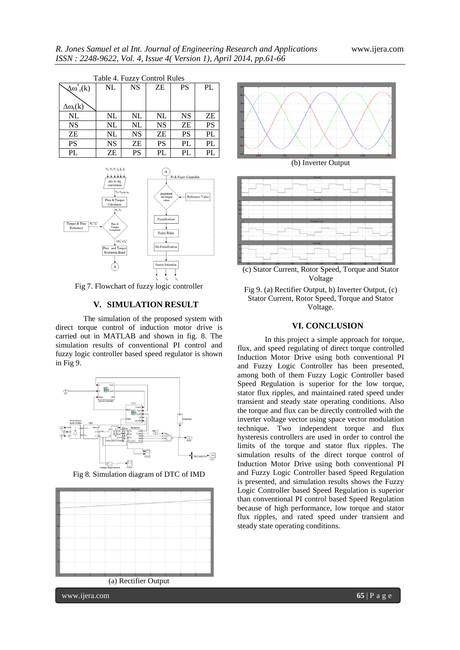| Table 4. Fuzzy Control Rules |           |           |           |           |           |  |
|------------------------------|-----------|-----------|-----------|-----------|-----------|--|
| $\Delta \omega_{r}^{*}(k)$   | NL        | <b>NS</b> | ZΕ        | PS        | PL        |  |
|                              |           |           |           |           |           |  |
| $\Delta\omega_r(k)$          |           |           |           |           |           |  |
| <b>NL</b>                    | NL        | NL        | NL        | <b>NS</b> | ZΕ        |  |
| <b>NS</b>                    | NL        | NL        | <b>NS</b> | ZΕ        | <b>PS</b> |  |
| ZΕ                           | NL        | NS        | ZΕ        | PS        | PL        |  |
| <b>PS</b>                    | <b>NS</b> | ZΕ        | <b>PS</b> | PL        | PL        |  |
| PL                           | ZΕ        | PS        | PL        | PL        | PL        |  |



Fig 7. Flowchart of fuzzy logic controller

## **V. SIMULATION RESULT**

The simulation of the proposed system with direct torque control of induction motor drive is carried out in MATLAB and shown in fig. 8. The simulation results of conventional PI control and fuzzy logic controller based speed regulator is shown in Fig 9.



Fig 8. Simulation diagram of DTC of IMD







(c) Stator Current, Rotor Speed, Torque and Stator Voltage



## **VI. CONCLUSION**

In this project a simple approach for torque, flux, and speed regulating of direct torque controlled Induction Motor Drive using both conventional PI and Fuzzy Logic Controller has been presented, among both of them Fuzzy Logic Controller based Speed Regulation is superior for the low torque, stator flux ripples, and maintained rated speed under transient and steady state operating conditions. Also the torque and flux can be directly controlled with the inverter voltage vector using space vector modulation technique. Two independent torque and flux hysteresis controllers are used in order to control the limits of the torque and stator flux ripples. The simulation results of the direct torque control of Induction Motor Drive using both conventional PI and Fuzzy Logic Controller based Speed Regulation is presented, and simulation results shows the Fuzzy Logic Controller based Speed Regulation is superior than conventional PI control based Speed Regulation because of high performance, low torque and stator flux ripples, and rated speed under transient and steady state operating conditions.

www.ijera.com **65** | P a g e